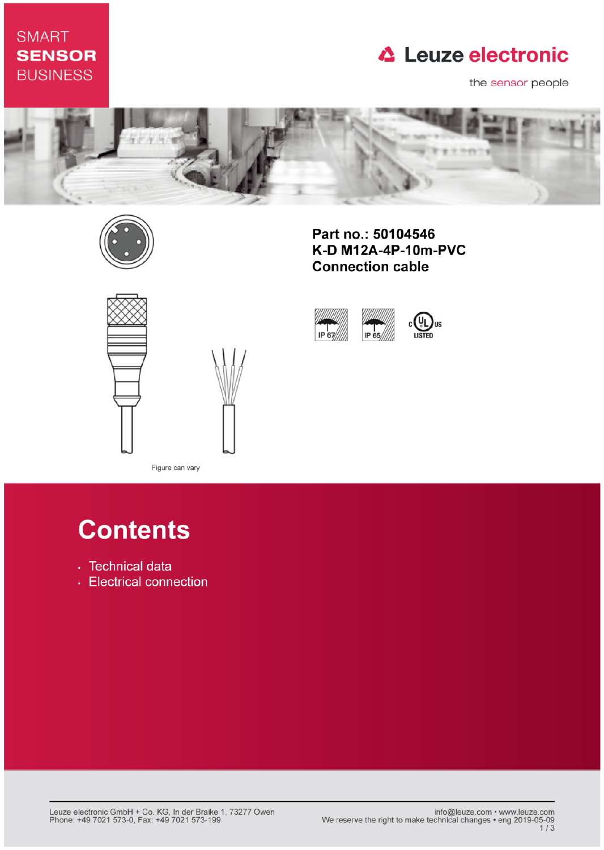## **SMART SENSOR BUSINESS**

## **△ Leuze electronic**

the sensor people



IP 67



Part no.: 50104546 K-D M12A-4P-10m-PVC **Connection cable** 

IP 65





Figure can vary

# **Contents**

- · Technical data
- Electrical connection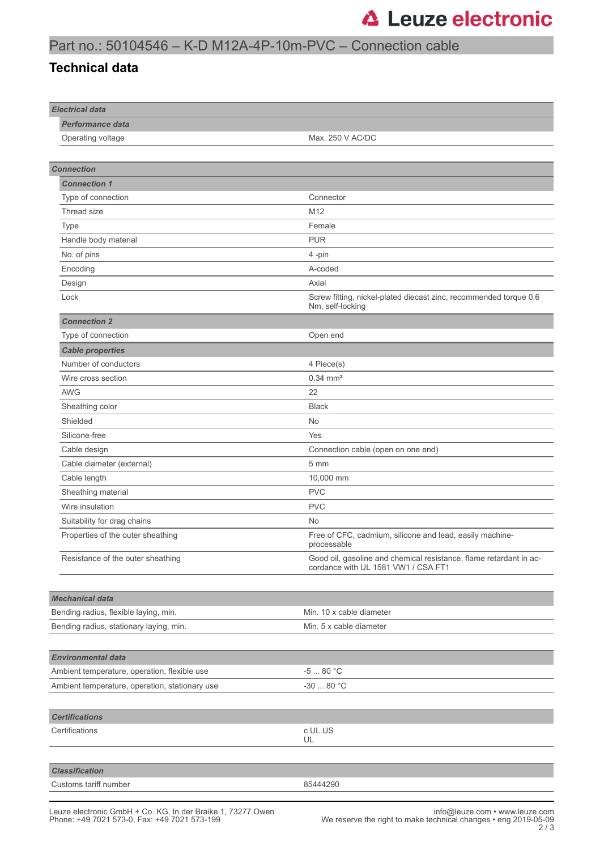### Part no.: 50104546 – K-D M12A-4P-10m-PVC – Connection cable

#### **Technical data**

| <b>Electrical data</b>                         |                                                                                                           |
|------------------------------------------------|-----------------------------------------------------------------------------------------------------------|
| <b>Performance data</b>                        |                                                                                                           |
| Operating voltage                              | Max. 250 V AC/DC                                                                                          |
|                                                |                                                                                                           |
| <b>Connection</b>                              |                                                                                                           |
| <b>Connection 1</b>                            |                                                                                                           |
| Type of connection                             | Connector                                                                                                 |
| Thread size                                    | M12                                                                                                       |
| Type                                           | Female                                                                                                    |
| Handle body material                           | <b>PUR</b>                                                                                                |
| No. of pins                                    | 4-pin                                                                                                     |
| Encoding                                       | A-coded                                                                                                   |
| Design                                         | Axial                                                                                                     |
| Lock                                           | Screw fitting, nickel-plated diecast zinc, recommended torque 0.6<br>Nm, self-locking                     |
| <b>Connection 2</b>                            |                                                                                                           |
| Type of connection                             | Open end                                                                                                  |
| <b>Cable properties</b>                        |                                                                                                           |
| Number of conductors                           | 4 Piece(s)                                                                                                |
| Wire cross section                             | $0.34 \, \text{mm}^2$                                                                                     |
| <b>AWG</b>                                     | 22                                                                                                        |
| Sheathing color                                | <b>Black</b>                                                                                              |
| Shielded                                       | No                                                                                                        |
| Silicone-free                                  | Yes                                                                                                       |
| Cable design                                   | Connection cable (open on one end)                                                                        |
| Cable diameter (external)                      | 5 mm                                                                                                      |
| Cable length                                   | 10,000 mm                                                                                                 |
| Sheathing material                             | <b>PVC</b>                                                                                                |
| Wire insulation                                | <b>PVC</b>                                                                                                |
| Suitability for drag chains                    | No                                                                                                        |
| Properties of the outer sheathing              | Free of CFC, cadmium, silicone and lead, easily machine-<br>processable                                   |
| Resistance of the outer sheathing              | Good oil, gasoline and chemical resistance, flame retardant in ac-<br>cordance with UL 1581 VW1 / CSA FT1 |
|                                                |                                                                                                           |
| <b>Mechanical data</b>                         |                                                                                                           |
| Bending radius, flexible laying, min.          | Min. 10 x cable diameter                                                                                  |
| Bending radius, stationary laying, min.        | Min. 5 x cable diameter                                                                                   |
|                                                |                                                                                                           |
| <b>Environmental data</b>                      |                                                                                                           |
| Ambient temperature, operation, flexible use   | $-580 °C$                                                                                                 |
| Ambient temperature, operation, stationary use | $-3080 °C$                                                                                                |
|                                                |                                                                                                           |
| <b>Certifications</b>                          |                                                                                                           |
| Certifications                                 | c UL US                                                                                                   |
|                                                | UL                                                                                                        |
|                                                |                                                                                                           |
| <b>Classification</b>                          |                                                                                                           |
| Customs tariff number                          | 85444290                                                                                                  |